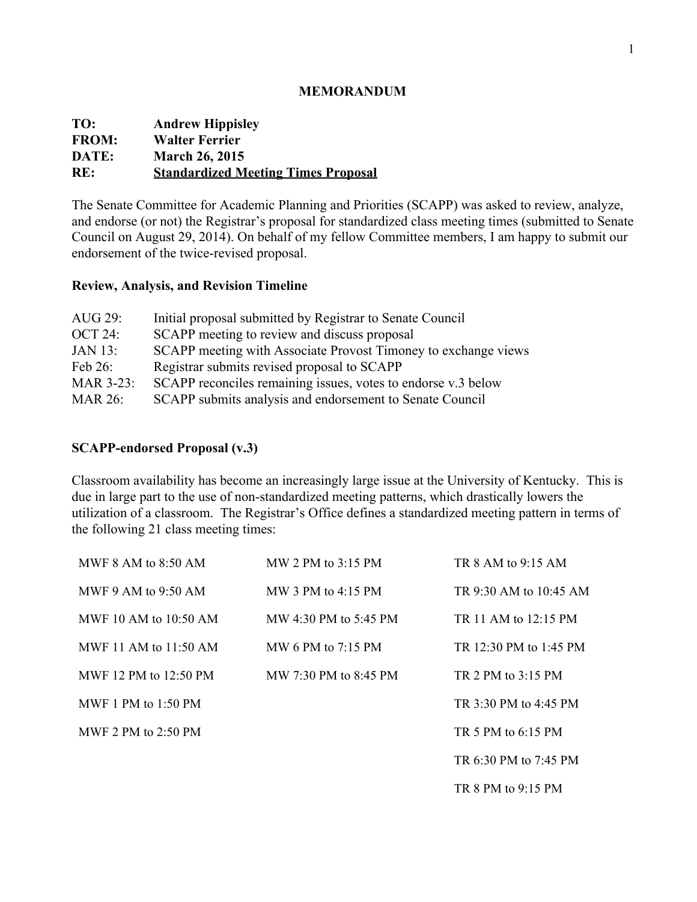#### **MEMORANDUM**

| TO:          | <b>Andrew Hippisley</b>                    |
|--------------|--------------------------------------------|
| <b>FROM:</b> | <b>Walter Ferrier</b>                      |
| DATE:        | <b>March 26, 2015</b>                      |
| RE:          | <b>Standardized Meeting Times Proposal</b> |

The Senate Committee for Academic Planning and Priorities (SCAPP) was asked to review, analyze, and endorse (or not) the Registrar's proposal for standardized class meeting times (submitted to Senate Council on August 29, 2014). On behalf of my fellow Committee members, I am happy to submit our endorsement of the twice-revised proposal.

### **Review, Analysis, and Revision Timeline**

| AUG $29$ :       | Initial proposal submitted by Registrar to Senate Council      |
|------------------|----------------------------------------------------------------|
| $OCT 24$ :       | SCAPP meeting to review and discuss proposal                   |
| <b>JAN 13:</b>   | SCAPP meeting with Associate Provost Timoney to exchange views |
| Feb $26$ :       | Registrar submits revised proposal to SCAPP                    |
| <b>MAR 3-23:</b> | SCAPP reconciles remaining issues, votes to endorse v.3 below  |
| <b>MAR 26:</b>   | SCAPP submits analysis and endorsement to Senate Council       |

### **SCAPPendorsed Proposal (v.3)**

Classroom availability has become an increasingly large issue at the University of Kentucky. This is due in large part to the use of non-standardized meeting patterns, which drastically lowers the utilization of a classroom. The Registrar's Office defines a standardized meeting pattern in terms of the following 21 class meeting times:

| MWF 8 AM to $8:50$ AM   | MW 2 PM to $3:15$ PM      | TR $8$ AM to $9.15$ AM     |
|-------------------------|---------------------------|----------------------------|
| MWF 9 AM to 9:50 AM     | MW 3 PM to 4:15 PM        | TR $9.30$ AM to $10.45$ AM |
| MWF 10 AM to $10:50$ AM | MW 4:30 PM to 5:45 PM     | TR 11 AM to 12:15 PM       |
| MWF 11 AM to 11:50 AM   | MW 6 PM to $7:15$ PM      | TR 12:30 PM to 1:45 PM     |
| MWF 12 PM to $12:50$ PM | MW $7.30$ PM to $8.45$ PM | TR 2 PM to $3.15$ PM       |
| MWF 1 PM to $1:50$ PM   |                           | TR 3.30 PM to 4.45 PM      |
| MWF 2 PM to $2:50$ PM   |                           | TR 5 PM to 6:15 PM         |
|                         |                           | TR 6:30 PM to 7:45 PM      |
|                         |                           | TR 8 PM to 9:15 PM         |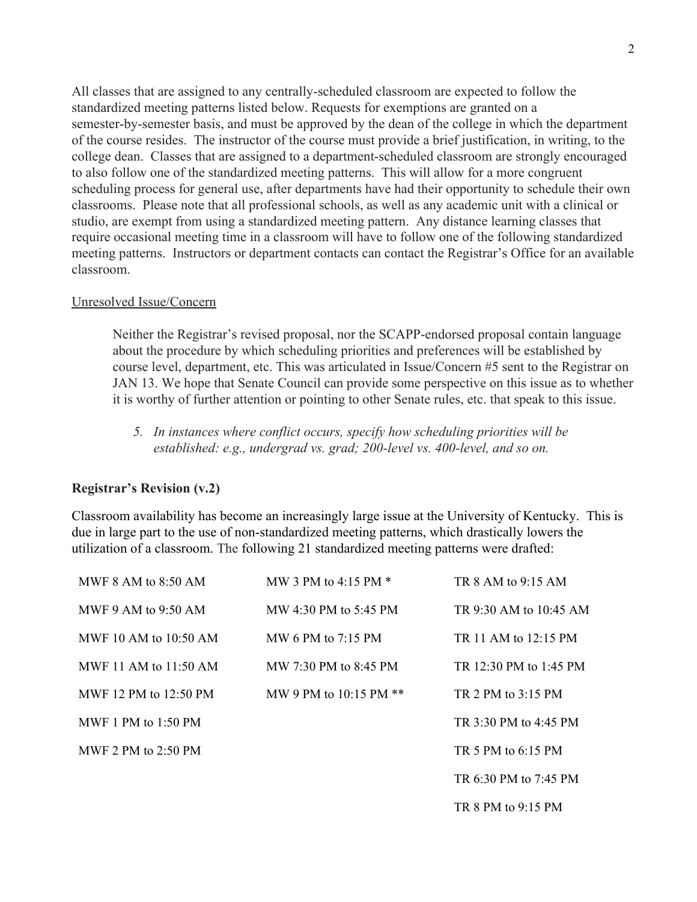All classes that are assigned to any centrally-scheduled classroom are expected to follow the standardized meeting patterns listed below. Requests for exemptions are granted on a semester-by-semester basis, and must be approved by the dean of the college in which the department of the course resides. The instructor of the course must provide a brief justification, in writing, to the college dean. Classes that are assigned to a department-scheduled classroom are strongly encouraged to also follow one of the standardized meeting patterns. This will allow for a more congruent scheduling process for general use, after departments have had their opportunity to schedule their own classrooms. Please note that all professional schools, as well as any academic unit with a clinical or studio, are exempt from using a standardized meeting pattern. Any distance learning classes that require occasional meeting time in a classroom will have to follow one of the following standardized meeting patterns. Instructors or department contacts can contact the Registrar's Office for an available classroom.

#### Unresolved Issue/Concern

Neither the Registrar's revised proposal, nor the SCAPP-endorsed proposal contain language about the procedure by which scheduling priorities and preferences will be established by course level, department, etc. This was articulated in Issue/Concern #5 sent to the Registrar on JAN 13. We hope that Senate Council can provide some perspective on this issue as to whether it is worthy of further attention or pointing to other Senate rules, etc. that speak to this issue.

*5. In instances where conflict occurs, specify how scheduling priorities will be established: e.g., undergrad vs. grad; 200level vs. 400level, and so on.*

### **Registrar's Revision (v.2)**

Classroom availability has become an increasingly large issue at the University of Kentucky. This is due in large part to the use of non-standardized meeting patterns, which drastically lowers the utilization of a classroom. The following 21 standardized meeting patterns were drafted:

| MWF 8 AM to 8:50 AM     | MW 3 PM to $4.15$ PM $*$ | TR $8$ AM to $9.15$ AM |
|-------------------------|--------------------------|------------------------|
| MWF 9 AM to 9:50 AM     | MW 4:30 PM to 5:45 PM    | TR 9:30 AM to 10:45 AM |
| MWF 10 AM to 10:50 AM   | MW 6 PM to $7.15$ PM     | TR 11 AM to 12:15 PM   |
| MWF 11 AM to $11:50$ AM | MW 7:30 PM to 8:45 PM    | TR 12:30 PM to 1:45 PM |
| MWF 12 PM to 12:50 PM   | MW 9 PM to 10:15 PM $**$ | TR 2 PM to 3:15 PM     |
| MWF 1 PM to $1:50$ PM   |                          | TR 3:30 PM to 4:45 PM  |
| MWF 2 PM to $2:50$ PM   |                          | TR 5 PM to $6.15$ PM   |
|                         |                          | TR 6:30 PM to 7:45 PM  |
|                         |                          | TR 8 PM to 9:15 PM     |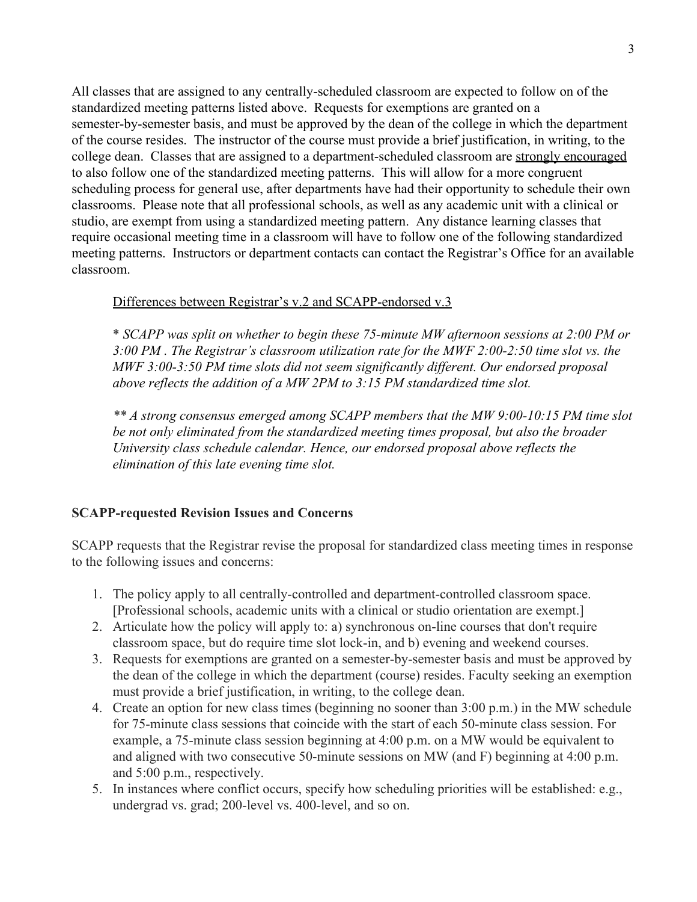All classes that are assigned to any centrally-scheduled classroom are expected to follow on of the standardized meeting patterns listed above. Requests for exemptions are granted on a semester-by-semester basis, and must be approved by the dean of the college in which the department of the course resides. The instructor of the course must provide a brief justification, in writing, to the college dean. Classes that are assigned to a department-scheduled classroom are strongly encouraged to also follow one of the standardized meeting patterns. This will allow for a more congruent scheduling process for general use, after departments have had their opportunity to schedule their own classrooms. Please note that all professional schools, as well as any academic unit with a clinical or studio, are exempt from using a standardized meeting pattern. Any distance learning classes that require occasional meeting time in a classroom will have to follow one of the following standardized meeting patterns. Instructors or department contacts can contact the Registrar's Office for an available classroom.

### Differences between Registrar's v.2 and SCAPP-endorsed v.3

\* *SCAPP was split on whether to begin these 75minute MW afternoon sessions at 2:00 PM or 3:00 PM . The Registrar's classroom utilization rate for the MWF 2:002:50 time slot vs. the MWF* 3:00-3:50 *PM* time slots did not seem significantly different. Our endorsed proposal *above reflects the addition of a MW 2PM to 3:15 PM standardized time slot.*

*\*\* A strong consensus emerged among SCAPP members that the MW 9:0010:15 PM time slot be not only eliminated from the standardized meeting times proposal, but also the broader University class schedule calendar. Hence, our endorsed proposal above reflects the elimination of this late evening time slot.*

#### **SCAPP-requested Revision Issues and Concerns**

SCAPP requests that the Registrar revise the proposal for standardized class meeting times in response to the following issues and concerns:

- 1. The policy apply to all centrally-controlled and department-controlled classroom space. [Professional schools, academic units with a clinical or studio orientation are exempt.]
- 2. Articulate how the policy will apply to: a) synchronous on-line courses that don't require classroom space, but do require time slot lock-in, and b) evening and weekend courses.
- 3. Requests for exemptions are granted on a semester-by-semester basis and must be approved by the dean of the college in which the department (course) resides. Faculty seeking an exemption must provide a brief justification, in writing, to the college dean.
- 4. Create an option for new class times (beginning no sooner than 3:00 p.m.) in the MW schedule for 75-minute class sessions that coincide with the start of each 50-minute class session. For example, a 75-minute class session beginning at  $4:00$  p.m. on a MW would be equivalent to and aligned with two consecutive 50-minute sessions on MW (and F) beginning at 4:00 p.m. and 5:00 p.m., respectively.
- 5. In instances where conflict occurs, specify how scheduling priorities will be established: e.g., undergrad vs. grad; 200-level vs. 400-level, and so on.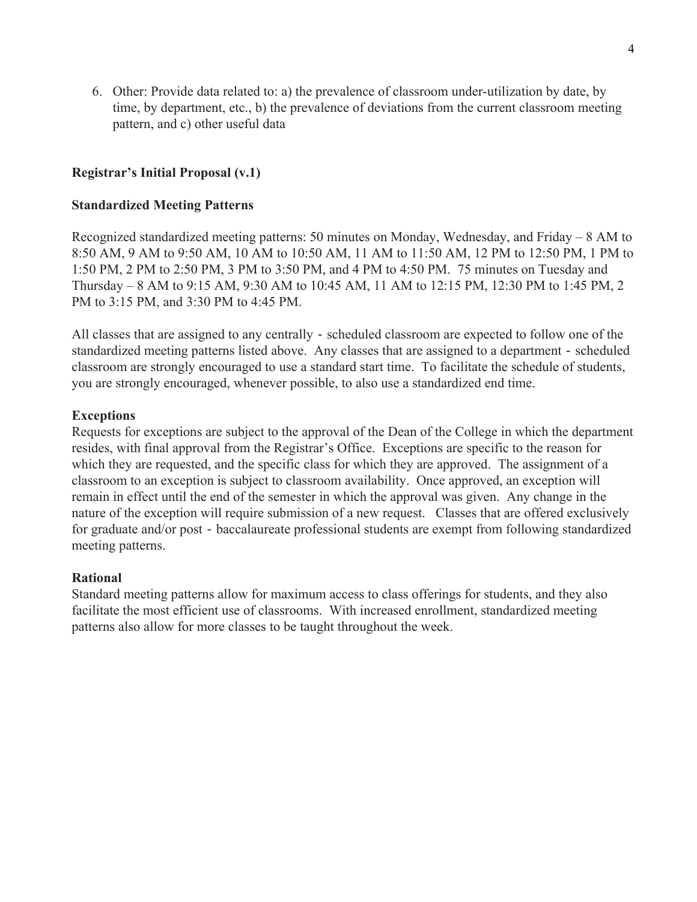6. Other: Provide data related to: a) the prevalence of classroom underutilization by date, by time, by department, etc., b) the prevalence of deviations from the current classroom meeting pattern, and c) other useful data

# **Registrar's Initial Proposal (v.1)**

## **Standardized Meeting Patterns**

Recognized standardized meeting patterns: 50 minutes on Monday, Wednesday, and Friday – 8 AM to 8:50 AM, 9 AM to 9:50 AM, 10 AM to 10:50 AM, 11 AM to 11:50 AM, 12 PM to 12:50 PM, 1 PM to 1:50 PM, 2 PM to 2:50 PM, 3 PM to 3:50 PM, and 4 PM to 4:50 PM. 75 minutes on Tuesday and Thursday – 8 AM to 9:15 AM, 9:30 AM to 10:45 AM, 11 AM to 12:15 PM, 12:30 PM to 1:45 PM, 2 PM to 3:15 PM, and 3:30 PM to 4:45 PM.

All classes that are assigned to any centrally - scheduled classroom are expected to follow one of the standardized meeting patterns listed above. Any classes that are assigned to a department - scheduled classroom are strongly encouraged to use a standard start time. To facilitate the schedule of students, you are strongly encouraged, whenever possible, to also use a standardized end time.

### **Exceptions**

Requests for exceptions are subject to the approval of the Dean of the College in which the department resides, with final approval from the Registrar's Office. Exceptions are specific to the reason for which they are requested, and the specific class for which they are approved. The assignment of a classroom to an exception is subject to classroom availability. Once approved, an exception will remain in effect until the end of the semester in which the approval was given. Any change in the nature of the exception will require submission of a new request. Classes that are offered exclusively for graduate and/or post - baccalaureate professional students are exempt from following standardized meeting patterns.

# **Rational**

Standard meeting patterns allow for maximum access to class offerings for students, and they also facilitate the most efficient use of classrooms. With increased enrollment, standardized meeting patterns also allow for more classes to be taught throughout the week.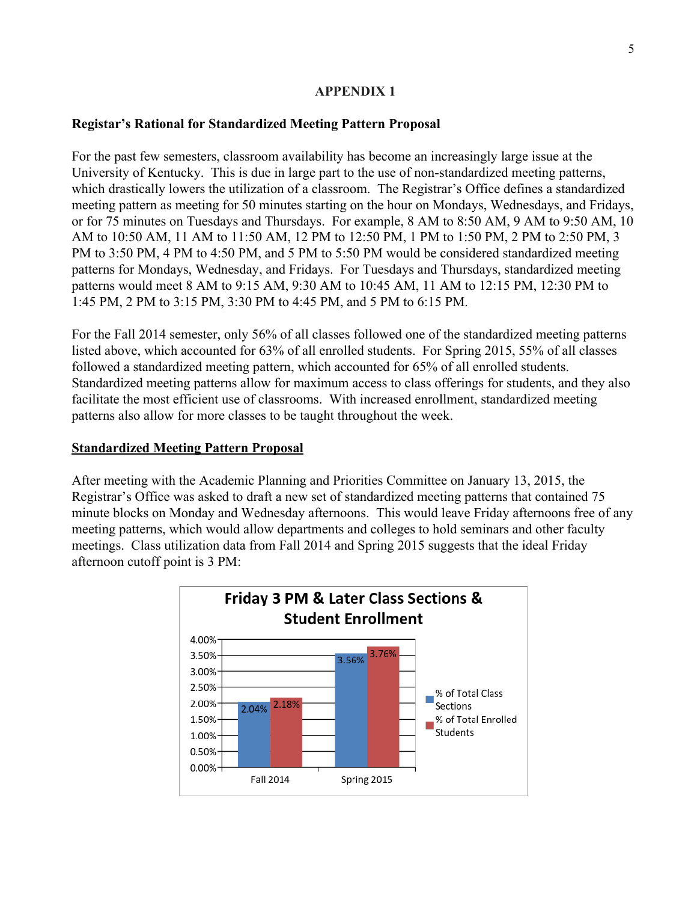## **APPENDIX 1**

## **Registar's Rational for Standardized Meeting Pattern Proposal**

For the past few semesters, classroom availability has become an increasingly large issue at the University of Kentucky. This is due in large part to the use of non-standardized meeting patterns, which drastically lowers the utilization of a classroom. The Registrar's Office defines a standardized meeting pattern as meeting for 50 minutes starting on the hour on Mondays, Wednesdays, and Fridays, or for 75 minutes on Tuesdays and Thursdays. For example, 8 AM to 8:50 AM, 9 AM to 9:50 AM, 10 AM to 10:50 AM, 11 AM to 11:50 AM, 12 PM to 12:50 PM, 1 PM to 1:50 PM, 2 PM to 2:50 PM, 3 PM to 3:50 PM, 4 PM to 4:50 PM, and 5 PM to 5:50 PM would be considered standardized meeting patterns for Mondays, Wednesday, and Fridays. For Tuesdays and Thursdays, standardized meeting patterns would meet 8 AM to 9:15 AM, 9:30 AM to 10:45 AM, 11 AM to 12:15 PM, 12:30 PM to 1:45 PM, 2 PM to 3:15 PM, 3:30 PM to 4:45 PM, and 5 PM to 6:15 PM.

For the Fall 2014 semester, only 56% of all classes followed one of the standardized meeting patterns listed above, which accounted for 63% of all enrolled students. For Spring 2015, 55% of all classes followed a standardized meeting pattern, which accounted for 65% of all enrolled students. Standardized meeting patterns allow for maximum access to class offerings for students, and they also facilitate the most efficient use of classrooms. With increased enrollment, standardized meeting patterns also allow for more classes to be taught throughout the week.

### **Standardized Meeting Pattern Proposal**

After meeting with the Academic Planning and Priorities Committee on January 13, 2015, the Registrar's Office was asked to draft a new set of standardized meeting patterns that contained 75 minute blocks on Monday and Wednesday afternoons. This would leave Friday afternoons free of any meeting patterns, which would allow departments and colleges to hold seminars and other faculty meetings. Class utilization data from Fall 2014 and Spring 2015 suggests that the ideal Friday afternoon cutoff point is 3 PM:

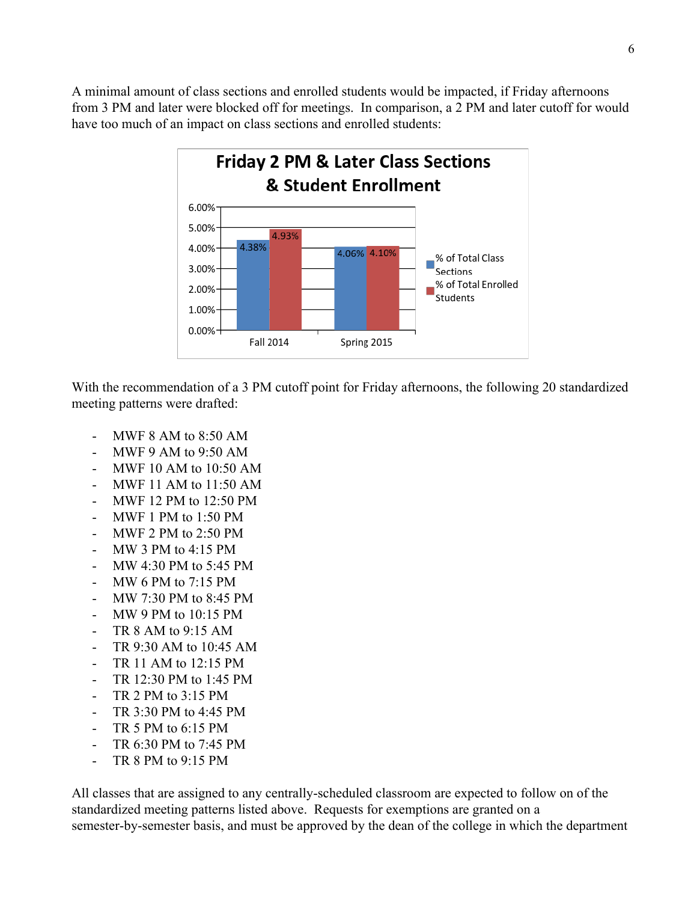A minimal amount of class sections and enrolled students would be impacted, if Friday afternoons from 3 PM and later were blocked off for meetings. In comparison, a 2 PM and later cutoff for would have too much of an impact on class sections and enrolled students:



With the recommendation of a 3 PM cutoff point for Friday afternoons, the following 20 standardized meeting patterns were drafted:

- MWF 8 AM to  $8:50$  AM
- MWF 9 AM to 9:50 AM
- MWF 10 AM to 10:50 AM
- MWF 11 AM to 11:50 AM
- MWF 12 PM to 12:50 PM
- MWF 1 PM to 1:50 PM
- MWF 2 PM to 2:50 PM
- MW 3 PM to 4:15 PM
- MW 4:30 PM to 5:45 PM
- MW 6 PM to 7:15 PM
- MW 7:30 PM to 8:45 PM
- MW 9 PM to 10:15 PM
- TR 8 AM to 9:15 AM
- TR 9:30 AM to 10:45 AM
- TR 11 AM to 12:15 PM
- TR 12:30 PM to 1:45 PM
- TR 2 PM to 3:15 PM
- TR 3:30 PM to 4:45 PM
- TR 5 PM to  $6:15$  PM
- TR 6:30 PM to 7:45 PM
- TR  $8$  PM to  $9:15$  PM

All classes that are assigned to any centrally-scheduled classroom are expected to follow on of the standardized meeting patterns listed above. Requests for exemptions are granted on a semester-by-semester basis, and must be approved by the dean of the college in which the department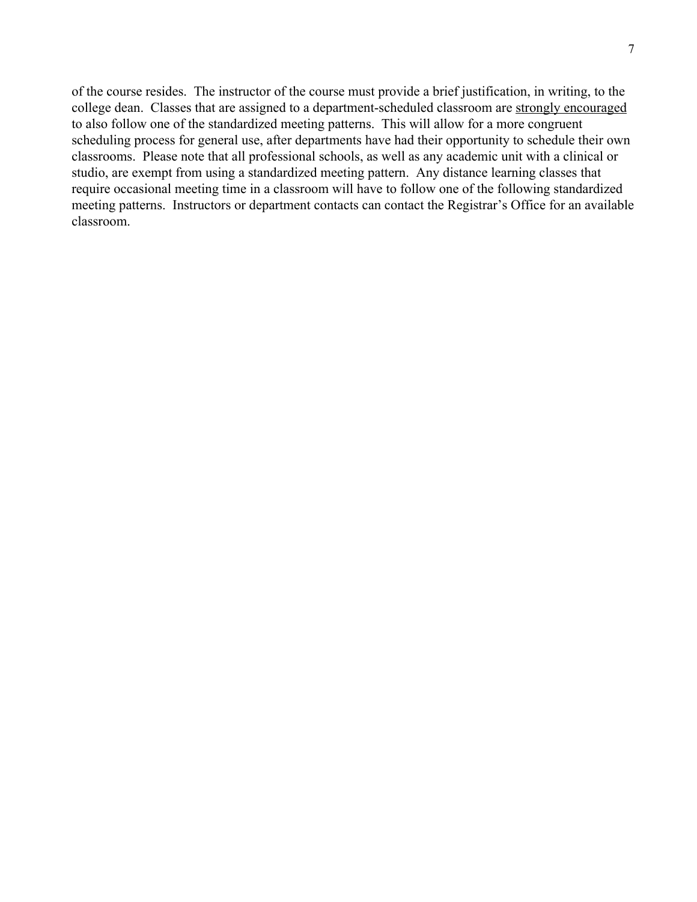of the course resides. The instructor of the course must provide a brief justification, in writing, to the college dean. Classes that are assigned to a department-scheduled classroom are strongly encouraged to also follow one of the standardized meeting patterns. This will allow for a more congruent scheduling process for general use, after departments have had their opportunity to schedule their own classrooms. Please note that all professional schools, as well as any academic unit with a clinical or studio, are exempt from using a standardized meeting pattern. Any distance learning classes that require occasional meeting time in a classroom will have to follow one of the following standardized meeting patterns. Instructors or department contacts can contact the Registrar's Office for an available classroom.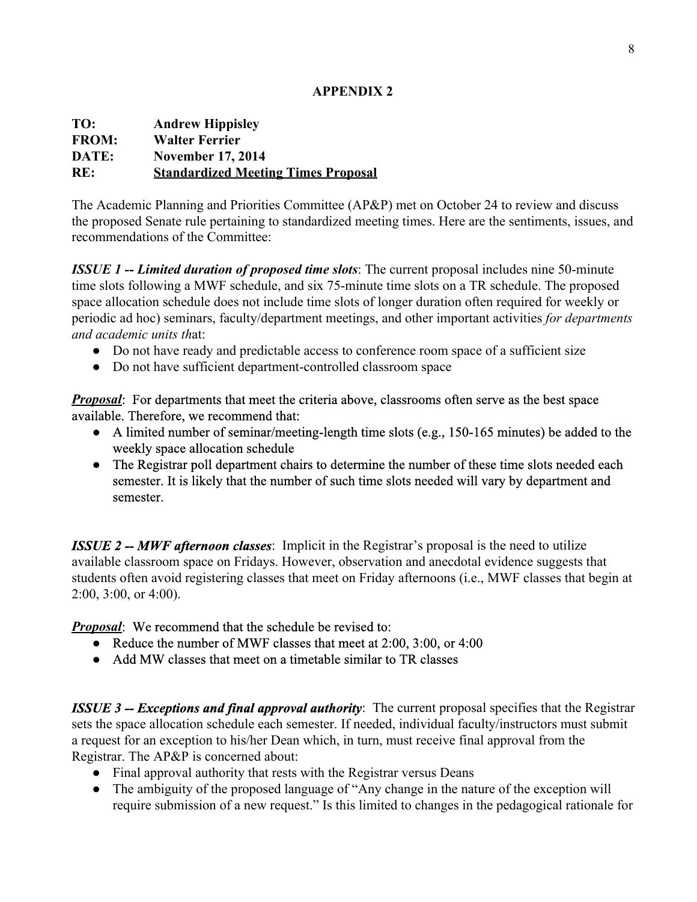## **APPENDIX 2**

| TO:          | <b>Andrew Hippisley</b>                    |
|--------------|--------------------------------------------|
| <b>FROM:</b> | <b>Walter Ferrier</b>                      |
| DATE:        | <b>November 17, 2014</b>                   |
| RE:          | <b>Standardized Meeting Times Proposal</b> |

The Academic Planning and Priorities Committee (AP&P) met on October 24 to review and discuss the proposed Senate rule pertaining to standardized meeting times. Here are the sentiments, issues, and recommendations of the Committee:

*ISSUE 1 Limited duration of proposed time slots*: The current proposal includes nine 50minute time slots following a MWF schedule, and six 75-minute time slots on a TR schedule. The proposed space allocation schedule does not include time slots of longer duration often required for weekly or periodic ad hoc) seminars, faculty/department meetings, and other important activities *for departments and academic units th*at:

- Do not have ready and predictable access to conference room space of a sufficient size
- Do not have sufficient department-controlled classroom space

*Proposal*: For departments that meet the criteria above, classrooms often serve as the best space available. Therefore, we recommend that:

- $\bullet$  A limited number of seminar/meeting-length time slots (e.g., 150-165 minutes) be added to the weekly space allocation schedule
- The Registrar poll department chairs to determine the number of these time slots needed each semester. It is likely that the number of such time slots needed will vary by department and semester.

*ISSUE* 2 – *MWF* **afternoon classes:** Implicit in the Registrar's proposal is the need to utilize available classroom space on Fridays. However, observation and anecdotal evidence suggests that students often avoid registering classes that meet on Friday afternoons (i.e., MWF classes that begin at 2:00, 3:00, or 4:00).

# *Proposal*: We recommend that the schedule be revised to:

- Reduce the number of MWF classes that meet at 2:00, 3:00, or 4:00
- Add MW classes that meet on a timetable similar to TR classes

*ISSUE 3 Exceptions and final approval authority*: The current proposal specifies that the Registrar sets the space allocation schedule each semester. If needed, individual faculty/instructors must submit a request for an exception to his/her Dean which, in turn, must receive final approval from the Registrar. The AP&P is concerned about:

- Final approval authority that rests with the Registrar versus Deans
- The ambiguity of the proposed language of "Any change in the nature of the exception will require submission of a new request." Is this limited to changes in the pedagogical rationale for